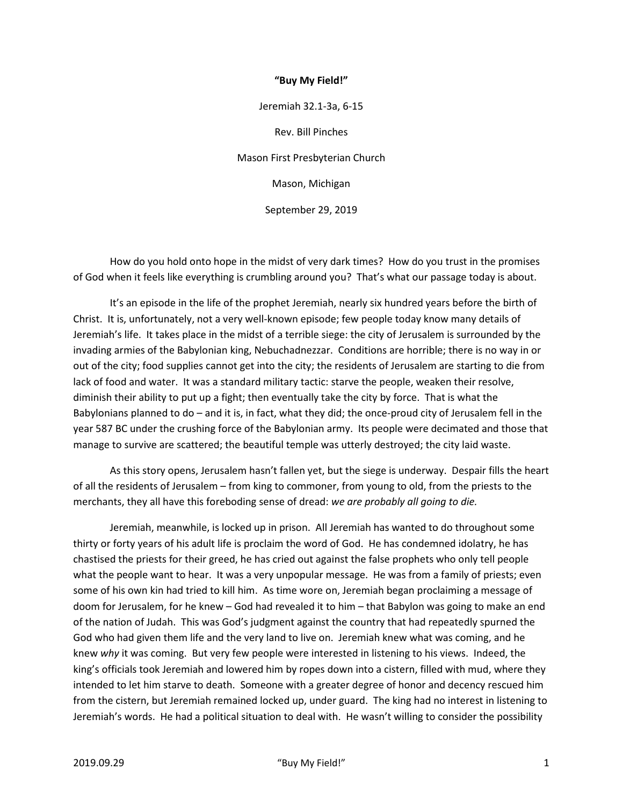## **"Buy My Field!"**

Jeremiah 32.1-3a, 6-15 Rev. Bill Pinches Mason First Presbyterian Church Mason, Michigan September 29, 2019

 How do you hold onto hope in the midst of very dark times? How do you trust in the promises of God when it feels like everything is crumbling around you? That's what our passage today is about.

 It's an episode in the life of the prophet Jeremiah, nearly six hundred years before the birth of Christ. It is, unfortunately, not a very well-known episode; few people today know many details of Jeremiah's life. It takes place in the midst of a terrible siege: the city of Jerusalem is surrounded by the invading armies of the Babylonian king, Nebuchadnezzar. Conditions are horrible; there is no way in or out of the city; food supplies cannot get into the city; the residents of Jerusalem are starting to die from lack of food and water. It was a standard military tactic: starve the people, weaken their resolve, diminish their ability to put up a fight; then eventually take the city by force. That is what the Babylonians planned to do – and it is, in fact, what they did; the once-proud city of Jerusalem fell in the year 587 BC under the crushing force of the Babylonian army. Its people were decimated and those that manage to survive are scattered; the beautiful temple was utterly destroyed; the city laid waste.

 As this story opens, Jerusalem hasn't fallen yet, but the siege is underway. Despair fills the heart of all the residents of Jerusalem – from king to commoner, from young to old, from the priests to the merchants, they all have this foreboding sense of dread: *we are probably all going to die.*

 Jeremiah, meanwhile, is locked up in prison. All Jeremiah has wanted to do throughout some thirty or forty years of his adult life is proclaim the word of God. He has condemned idolatry, he has chastised the priests for their greed, he has cried out against the false prophets who only tell people what the people want to hear. It was a very unpopular message. He was from a family of priests; even some of his own kin had tried to kill him. As time wore on, Jeremiah began proclaiming a message of doom for Jerusalem, for he knew – God had revealed it to him – that Babylon was going to make an end of the nation of Judah. This was God's judgment against the country that had repeatedly spurned the God who had given them life and the very land to live on. Jeremiah knew what was coming, and he knew *why* it was coming. But very few people were interested in listening to his views. Indeed, the king's officials took Jeremiah and lowered him by ropes down into a cistern, filled with mud, where they intended to let him starve to death. Someone with a greater degree of honor and decency rescued him from the cistern, but Jeremiah remained locked up, under guard. The king had no interest in listening to Jeremiah's words. He had a political situation to deal with. He wasn't willing to consider the possibility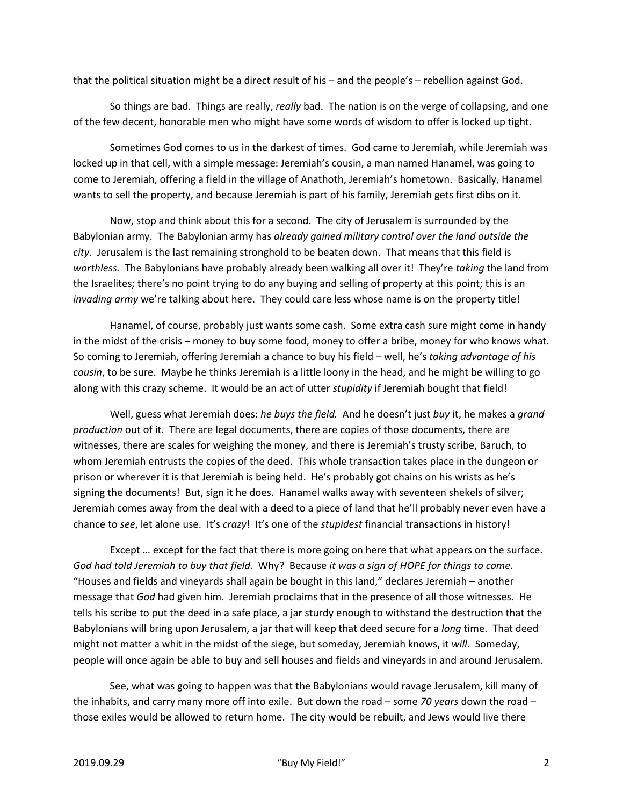that the political situation might be a direct result of his – and the people's – rebellion against God.

 So things are bad. Things are really, *really* bad. The nation is on the verge of collapsing, and one of the few decent, honorable men who might have some words of wisdom to offer is locked up tight.

 Sometimes God comes to us in the darkest of times. God came to Jeremiah, while Jeremiah was locked up in that cell, with a simple message: Jeremiah's cousin, a man named Hanamel, was going to come to Jeremiah, offering a field in the village of Anathoth, Jeremiah's hometown. Basically, Hanamel wants to sell the property, and because Jeremiah is part of his family, Jeremiah gets first dibs on it.

 Now, stop and think about this for a second. The city of Jerusalem is surrounded by the Babylonian army. The Babylonian army has *already gained military control over the land outside the city.* Jerusalem is the last remaining stronghold to be beaten down. That means that this field is *worthless.* The Babylonians have probably already been walking all over it! They're *taking* the land from the Israelites; there's no point trying to do any buying and selling of property at this point; this is an *invading army* we're talking about here. They could care less whose name is on the property title!

 Hanamel, of course, probably just wants some cash. Some extra cash sure might come in handy in the midst of the crisis – money to buy some food, money to offer a bribe, money for who knows what. So coming to Jeremiah, offering Jeremiah a chance to buy his field – well, he's *taking advantage of his cousin*, to be sure. Maybe he thinks Jeremiah is a little loony in the head, and he might be willing to go along with this crazy scheme. It would be an act of utter *stupidity* if Jeremiah bought that field!

 Well, guess what Jeremiah does: *he buys the field.* And he doesn't just *buy* it, he makes a *grand production* out of it. There are legal documents, there are copies of those documents, there are witnesses, there are scales for weighing the money, and there is Jeremiah's trusty scribe, Baruch, to whom Jeremiah entrusts the copies of the deed. This whole transaction takes place in the dungeon or prison or wherever it is that Jeremiah is being held. He's probably got chains on his wrists as he's signing the documents! But, sign it he does. Hanamel walks away with seventeen shekels of silver; Jeremiah comes away from the deal with a deed to a piece of land that he'll probably never even have a chance to *see*, let alone use. It's *crazy*! It's one of the *stupidest* financial transactions in history!

 Except … except for the fact that there is more going on here that what appears on the surface. *God had told Jeremiah to buy that field.* Why? Because *it was a sign of HOPE for things to come.* "Houses and fields and vineyards shall again be bought in this land," declares Jeremiah – another message that *God* had given him. Jeremiah proclaims that in the presence of all those witnesses. He tells his scribe to put the deed in a safe place, a jar sturdy enough to withstand the destruction that the Babylonians will bring upon Jerusalem, a jar that will keep that deed secure for a *long* time. That deed might not matter a whit in the midst of the siege, but someday, Jeremiah knows, it *will*. Someday, people will once again be able to buy and sell houses and fields and vineyards in and around Jerusalem.

 See, what was going to happen was that the Babylonians would ravage Jerusalem, kill many of the inhabits, and carry many more off into exile. But down the road – some *70 years* down the road – those exiles would be allowed to return home. The city would be rebuilt, and Jews would live there